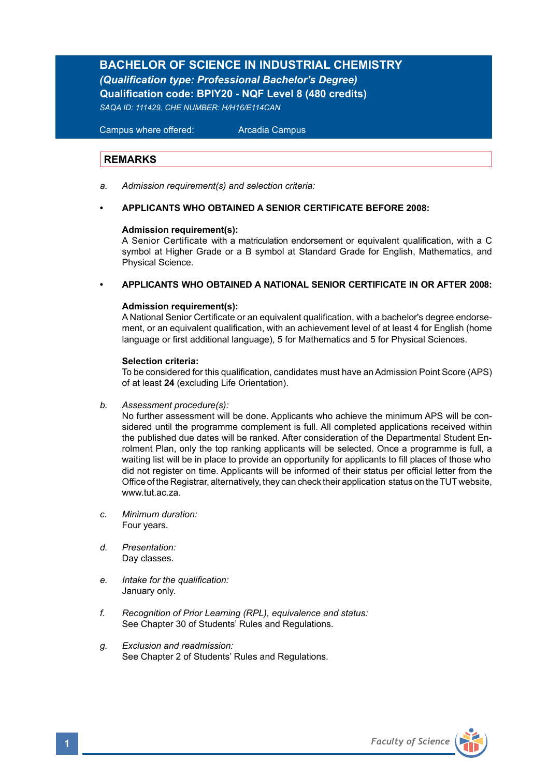# **BACHELOR OF SCIENCE IN INDUSTRIAL CHEMISTRY**

*(Qualification type: Professional Bachelor's Degree)*  **Qualification code: BPIY20 - NQF Level 8 (480 credits)**  *SAQA ID: 111429, CHE NUMBER: H/H16/E114CAN*

 Campus where offered: Arcadia Campus

# **REMARKS**

- *a. Admission requirement(s) and selection criteria:*
- **APPLICANTS WHO OBTAINED A SENIOR CERTIFICATE BEFORE 2008:**

### **Admission requirement(s):**

A Senior Certificate with a matriculation endorsement or equivalent qualification, with a C symbol at Higher Grade or a B symbol at Standard Grade for English, Mathematics, and Physical Science.

**• APPLICANTS WHO OBTAINED A NATIONAL SENIOR CERTIFICATE IN OR AFTER 2008:**

### **Admission requirement(s):**

A National Senior Certificate or an equivalent qualification, with a bachelor's degree endorsement, or an equivalent qualification, with an achievement level of at least 4 for English (home language or first additional language), 5 for Mathematics and 5 for Physical Sciences.

### **Selection criteria:**

To be considered for this qualification, candidates must have an Admission Point Score (APS) of at least **24** (excluding Life Orientation).

*b. Assessment procedure(s):*

No further assessment will be done. Applicants who achieve the minimum APS will be con sidered until the programme complement is full. All completed applications received within the published due dates will be ranked. After consideration of the Departmental Student En rolment Plan, only the top ranking applicants will be selected. Once a programme is full, a waiting list will be in place to provide an opportunity for applicants to fill places of those who did not register on time. Applicants will be informed of their status per official letter from the Office of the Registrar, alternatively, they can check their application status on the TUT website, www.tut.ac.za.

- *c. Minimum duration:* Four years.
- *d. Presentation:*  Day classes.
- *e. Intake for the qualification:*  January only.
- *f. Recognition of Prior Learning (RPL), equivalence and status:* See Chapter 30 of Students' Rules and Regulations.
- *g. Exclusion and readmission:* See Chapter 2 of Students' Rules and Regulations.

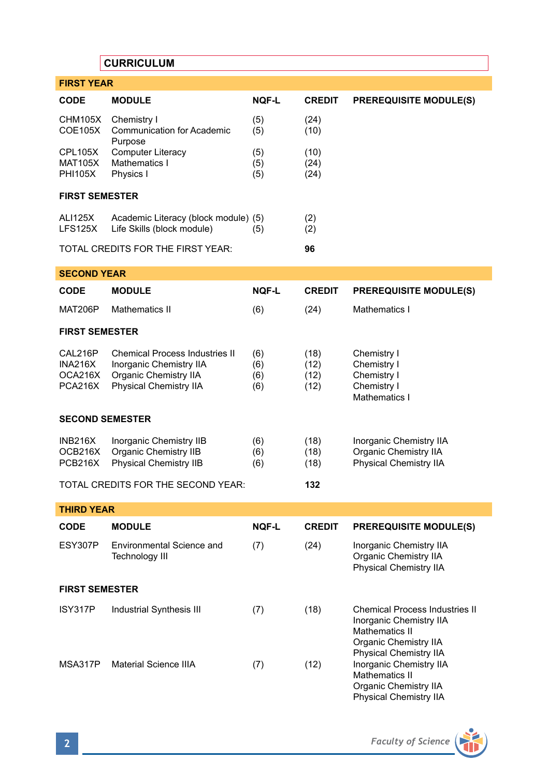# **CURRICULUM**

| <b>FIRST YEAR</b>                               |                                                                                                                            |                          |                              |                                                                                                                                       |  |  |  |
|-------------------------------------------------|----------------------------------------------------------------------------------------------------------------------------|--------------------------|------------------------------|---------------------------------------------------------------------------------------------------------------------------------------|--|--|--|
| <b>CODE</b>                                     | <b>MODULE</b>                                                                                                              | <b>NOF-L</b>             | <b>CREDIT</b>                | <b>PREREQUISITE MODULE(S)</b>                                                                                                         |  |  |  |
| CHM105X<br><b>COE105X</b>                       | Chemistry I<br><b>Communication for Academic</b><br>Purpose                                                                | (5)<br>(5)               | (24)<br>(10)                 |                                                                                                                                       |  |  |  |
| <b>CPL105X</b><br><b>MAT105X</b><br>PHI105X     | <b>Computer Literacy</b><br>Mathematics I<br>Physics I                                                                     | (5)<br>(5)<br>(5)        | (10)<br>(24)<br>(24)         |                                                                                                                                       |  |  |  |
| <b>FIRST SEMESTER</b>                           |                                                                                                                            |                          |                              |                                                                                                                                       |  |  |  |
| <b>ALI125X</b><br><b>LFS125X</b>                | Academic Literacy (block module) (5)<br>Life Skills (block module)                                                         | (5)                      | (2)<br>(2)                   |                                                                                                                                       |  |  |  |
|                                                 | TOTAL CREDITS FOR THE FIRST YEAR:                                                                                          |                          | 96                           |                                                                                                                                       |  |  |  |
| <b>SECOND YEAR</b>                              |                                                                                                                            |                          |                              |                                                                                                                                       |  |  |  |
| <b>CODE</b>                                     | <b>MODULE</b>                                                                                                              | <b>NOF-L</b>             | <b>CREDIT</b>                | <b>PREREQUISITE MODULE(S)</b>                                                                                                         |  |  |  |
| <b>MAT206P</b>                                  | <b>Mathematics II</b>                                                                                                      | (6)                      | (24)                         | Mathematics I                                                                                                                         |  |  |  |
| <b>FIRST SEMESTER</b>                           |                                                                                                                            |                          |                              |                                                                                                                                       |  |  |  |
| CAL216P<br>INA216X<br>OCA216X<br><b>PCA216X</b> | <b>Chemical Process Industries II</b><br>Inorganic Chemistry IIA<br>Organic Chemistry IIA<br><b>Physical Chemistry IIA</b> | (6)<br>(6)<br>(6)<br>(6) | (18)<br>(12)<br>(12)<br>(12) | Chemistry I<br>Chemistry I<br>Chemistry I<br>Chemistry I<br>Mathematics I                                                             |  |  |  |
| <b>SECOND SEMESTER</b>                          |                                                                                                                            |                          |                              |                                                                                                                                       |  |  |  |
| INB216X<br>OCB216X<br>PCB216X                   | Inorganic Chemistry IIB<br>Organic Chemistry IIB<br><b>Physical Chemistry IIB</b>                                          | (6)<br>(6)<br>(6)        | (18)<br>(18)<br>(18)         | Inorganic Chemistry IIA<br>Organic Chemistry IIA<br>Physical Chemistry IIA                                                            |  |  |  |
|                                                 | TOTAL CREDITS FOR THE SECOND YEAR:                                                                                         |                          | 132                          |                                                                                                                                       |  |  |  |
| <b>THIRD YEAR</b>                               |                                                                                                                            |                          |                              |                                                                                                                                       |  |  |  |
| <b>CODE</b>                                     | <b>MODULE</b>                                                                                                              | <b>NOF-L</b>             | <b>CREDIT</b>                | <b>PREREQUISITE MODULE(S)</b>                                                                                                         |  |  |  |
| ESY307P                                         | Environmental Science and<br>Technology III                                                                                | (7)                      | (24)                         | Inorganic Chemistry IIA<br>Organic Chemistry IIA<br>Physical Chemistry IIA                                                            |  |  |  |
| <b>FIRST SEMESTER</b>                           |                                                                                                                            |                          |                              |                                                                                                                                       |  |  |  |
| ISY317P                                         | Industrial Synthesis III                                                                                                   | (7)                      | (18)                         | Chemical Process Industries II<br><b>Inorganic Chemistry IIA</b><br>Mathematics II<br>Organic Chemistry IIA<br>Physical Chemistry IIA |  |  |  |
| MSA317P                                         | <b>Material Science IIIA</b>                                                                                               | (7)                      | (12)                         | Inorganic Chemistry IIA<br><b>Mathematics II</b><br>Organic Chemistry IIA<br>Physical Chemistry IIA                                   |  |  |  |

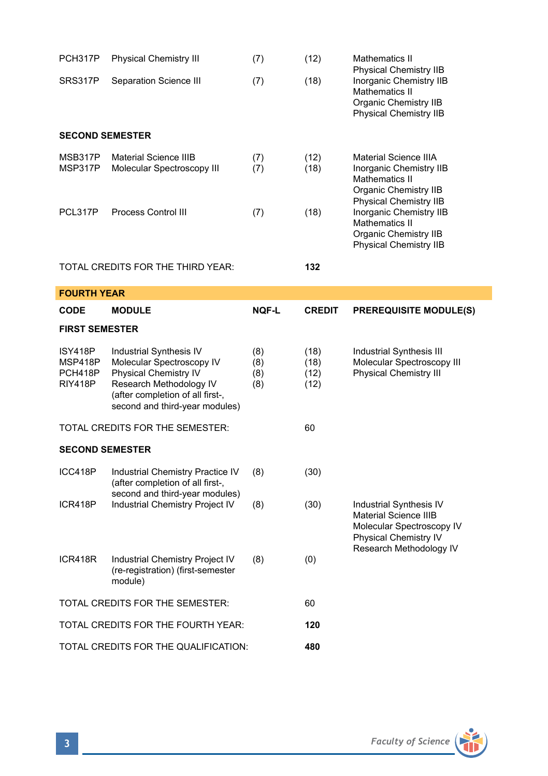| PCH317P                                         | <b>Physical Chemistry III</b>                                                                                                                                                  | (7)                      | (12)                         | Mathematics II<br>Physical Chemistry IIB                                                                                      |  |  |  |
|-------------------------------------------------|--------------------------------------------------------------------------------------------------------------------------------------------------------------------------------|--------------------------|------------------------------|-------------------------------------------------------------------------------------------------------------------------------|--|--|--|
| SRS317P                                         | Separation Science III                                                                                                                                                         | (7)                      | (18)                         | Inorganic Chemistry IIB<br>Mathematics II<br>Organic Chemistry IIB<br>Physical Chemistry IIB                                  |  |  |  |
| <b>SECOND SEMESTER</b>                          |                                                                                                                                                                                |                          |                              |                                                                                                                               |  |  |  |
| MSB317P<br>MSP317P                              | <b>Material Science IIIB</b><br>Molecular Spectroscopy III                                                                                                                     | (7)<br>(7)               | (12)<br>(18)                 | <b>Material Science IIIA</b><br>Inorganic Chemistry IIB<br>Mathematics II<br>Organic Chemistry IIB                            |  |  |  |
| PCL317P                                         | Process Control III                                                                                                                                                            | (7)                      | (18)                         | Physical Chemistry IIB<br>Inorganic Chemistry IIB<br>Mathematics II<br>Organic Chemistry IIB<br><b>Physical Chemistry IIB</b> |  |  |  |
| TOTAL CREDITS FOR THE THIRD YEAR:               |                                                                                                                                                                                |                          | 132                          |                                                                                                                               |  |  |  |
| <b>FOURTH YEAR</b>                              |                                                                                                                                                                                |                          |                              |                                                                                                                               |  |  |  |
| <b>CODE</b>                                     | <b>MODULE</b>                                                                                                                                                                  | NQF-L                    | <b>CREDIT</b>                | <b>PREREQUISITE MODULE(S)</b>                                                                                                 |  |  |  |
| <b>FIRST SEMESTER</b>                           |                                                                                                                                                                                |                          |                              |                                                                                                                               |  |  |  |
| ISY418P<br>MSP418P<br>PCH418P<br><b>RIY418P</b> | Industrial Synthesis IV<br>Molecular Spectroscopy IV<br>Physical Chemistry IV<br>Research Methodology IV<br>(after completion of all first-,<br>second and third-year modules) | (8)<br>(8)<br>(8)<br>(8) | (18)<br>(18)<br>(12)<br>(12) | Industrial Synthesis III<br>Molecular Spectroscopy III<br><b>Physical Chemistry III</b>                                       |  |  |  |
|                                                 | TOTAL CREDITS FOR THE SEMESTER:                                                                                                                                                |                          | 60                           |                                                                                                                               |  |  |  |
| <b>SECOND SEMESTER</b>                          |                                                                                                                                                                                |                          |                              |                                                                                                                               |  |  |  |
| ICC418P                                         | Industrial Chemistry Practice IV<br>(after completion of all first-,                                                                                                           | (8)                      | (30)                         | Industrial Synthesis IV<br>Material Science IIIB<br>Molecular Spectroscopy IV<br>Physical Chemistry IV                        |  |  |  |
| ICR418P                                         | second and third-year modules)<br>Industrial Chemistry Project IV                                                                                                              | (8)                      | (30)                         |                                                                                                                               |  |  |  |
| ICR418R                                         | Industrial Chemistry Project IV<br>(re-registration) (first-semester<br>module)                                                                                                | (8)                      | (0)                          | Research Methodology IV                                                                                                       |  |  |  |
| TOTAL CREDITS FOR THE SEMESTER:                 |                                                                                                                                                                                |                          |                              |                                                                                                                               |  |  |  |
| TOTAL CREDITS FOR THE FOURTH YEAR:              |                                                                                                                                                                                |                          | 60                           |                                                                                                                               |  |  |  |
|                                                 |                                                                                                                                                                                |                          | 120                          |                                                                                                                               |  |  |  |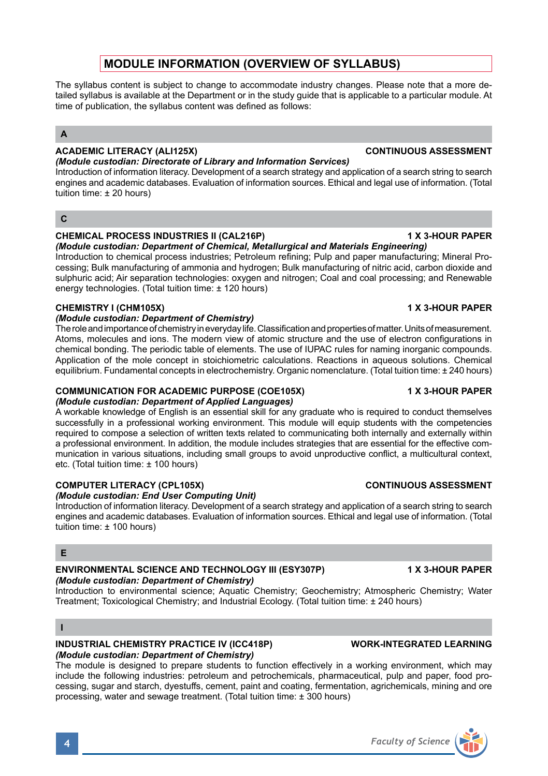# **MODULE INFORMATION (OVERVIEW OF SYLLABUS)**

The syllabus content is subject to change to accommodate industry changes. Please note that a more detailed syllabus is available at the Department or in the study guide that is applicable to a particular module. At time of publication, the syllabus content was defined as follows:

# **A**

# **ACADEMIC LITERACY (ALI125X) CONTINUOUS ASSESSMENT**

*(Module custodian: Directorate of Library and Information Services)* Introduction of information literacy. Development of a search strategy and application of a search string to search engines and academic databases. Evaluation of information sources. Ethical and legal use of information. (Total tuition time: ± 20 hours)

# **C**

# **CHEMICAL PROCESS INDUSTRIES II (CAL216P) 1 X 3-HOUR PAPER**

*(Module custodian: Department of Chemical, Metallurgical and Materials Engineering)* Introduction to chemical process industries; Petroleum refining; Pulp and paper manufacturing; Mineral Processing; Bulk manufacturing of ammonia and hydrogen; Bulk manufacturing of nitric acid, carbon dioxide and sulphuric acid; Air separation technologies: oxygen and nitrogen; Coal and coal processing; and Renewable energy technologies. (Total tuition time: ± 120 hours)

# **CHEMISTRY I (CHM105X) 1 X 3-HOUR PAPER**

### *(Module custodian: Department of Chemistry)*

The role and importance of chemistry in everyday life. Classification and properties of matter. Units of measurement. Atoms, molecules and ions. The modern view of atomic structure and the use of electron configurations in chemical bonding. The periodic table of elements. The use of IUPAC rules for naming inorganic compounds. Application of the mole concept in stoichiometric calculations. Reactions in aqueous solutions. Chemical equilibrium. Fundamental concepts in electrochemistry. Organic nomenclature. (Total tuition time: ± 240 hours)

### **COMMUNICATION FOR ACADEMIC PURPOSE (COE105X) 1 X 3-HOUR PAPER** *(Module custodian: Department of Applied Languages)*

A workable knowledge of English is an essential skill for any graduate who is required to conduct themselves successfully in a professional working environment. This module will equip students with the competencies required to compose a selection of written texts related to communicating both internally and externally within a professional environment. In addition, the module includes strategies that are essential for the effective communication in various situations, including small groups to avoid unproductive conflict, a multicultural context, etc. (Total tuition time: ± 100 hours)

# **COMPUTER LITERACY (CPL105X) CONTINUOUS ASSESSMENT**

### *(Module custodian: End User Computing Unit)*

Introduction of information literacy. Development of a search strategy and application of a search string to search engines and academic databases. Evaluation of information sources. Ethical and legal use of information. (Total tuition time: ± 100 hours)

# **E**

### **ENVIRONMENTAL SCIENCE AND TECHNOLOGY III (ESY307P) 1 X 3-HOUR PAPER** *(Module custodian: Department of Chemistry)*

Introduction to environmental science; Aquatic Chemistry; Geochemistry; Atmospheric Chemistry; Water Treatment; Toxicological Chemistry; and Industrial Ecology. (Total tuition time: ± 240 hours)

### **I**

### **INDUSTRIAL CHEMISTRY PRACTICE IV (ICC418P) WORK-INTEGRATED LEARNING**  *(Module custodian: Department of Chemistry)*

The module is designed to prepare students to function effectively in a working environment, which may include the following industries: petroleum and petrochemicals, pharmaceutical, pulp and paper, food processing, sugar and starch, dyestuffs, cement, paint and coating, fermentation, agrichemicals, mining and ore processing, water and sewage treatment. (Total tuition time: ± 300 hours)

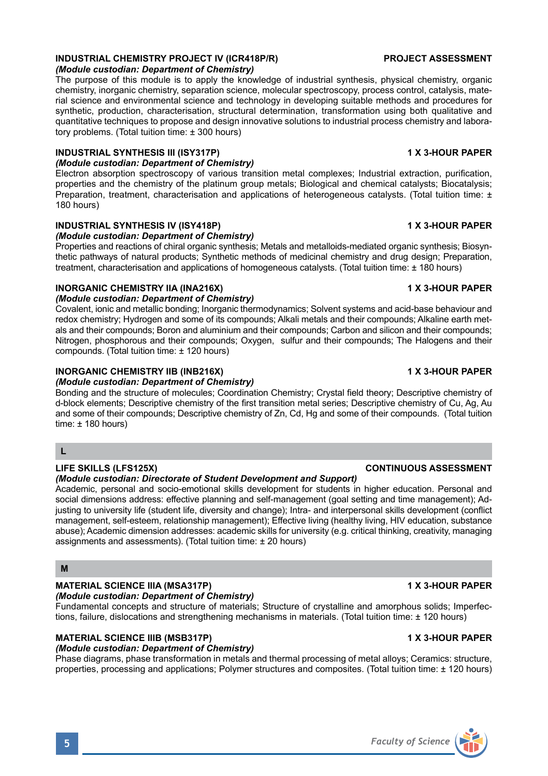### **INDUSTRIAL CHEMISTRY PROJECT IV (ICR418P/R) PROJECT ASSESSMENT** *(Module custodian: Department of Chemistry)*

The purpose of this module is to apply the knowledge of industrial synthesis, physical chemistry, organic chemistry, inorganic chemistry, separation science, molecular spectroscopy, process control, catalysis, material science and environmental science and technology in developing suitable methods and procedures for synthetic, production, characterisation, structural determination, transformation using both qualitative and quantitative techniques to propose and design innovative solutions to industrial process chemistry and laboratory problems. (Total tuition time: ± 300 hours)

### **INDUSTRIAL SYNTHESIS III (ISY317P) 1 X 3-HOUR PAPER**

## *(Module custodian: Department of Chemistry)*

Electron absorption spectroscopy of various transition metal complexes; Industrial extraction, purification, properties and the chemistry of the platinum group metals; Biological and chemical catalysts; Biocatalysis; Preparation, treatment, characterisation and applications of heterogeneous catalysts. (Total tuition time: ± 180 hours)

# **INDUSTRIAL SYNTHESIS IV (ISY418P) 1 X 3-HOUR PAPER**

### *(Module custodian: Department of Chemistry)*

Properties and reactions of chiral organic synthesis; Metals and metalloids-mediated organic synthesis; Biosynthetic pathways of natural products; Synthetic methods of medicinal chemistry and drug design; Preparation, treatment, characterisation and applications of homogeneous catalysts. (Total tuition time: ± 180 hours)

# **INORGANIC CHEMISTRY IIA (INA216X) 1 X 3-HOUR PAPER**

### *(Module custodian: Department of Chemistry)*

Covalent, ionic and metallic bonding; Inorganic thermodynamics; Solvent systems and acid-base behaviour and redox chemistry; Hydrogen and some of its compounds; Alkali metals and their compounds; Alkaline earth metals and their compounds; Boron and aluminium and their compounds; Carbon and silicon and their compounds; Nitrogen, phosphorous and their compounds; Oxygen, sulfur and their compounds; The Halogens and their compounds. (Total tuition time: ± 120 hours)

# **INORGANIC CHEMISTRY IIB (INB216X) 1 X 3-HOUR PAPER**

# *(Module custodian: Department of Chemistry)*

Bonding and the structure of molecules; Coordination Chemistry; Crystal field theory; Descriptive chemistry of d-block elements; Descriptive chemistry of the first transition metal series; Descriptive chemistry of Cu, Ag, Au and some of their compounds; Descriptive chemistry of Zn, Cd, Hg and some of their compounds. (Total tuition time:  $\pm$  180 hours)

# **L**

# **LIFE SKILLS (LFS125X) CONTINUOUS ASSESSMENT**

# *(Module custodian: Directorate of Student Development and Support)*

Academic, personal and socio-emotional skills development for students in higher education. Personal and social dimensions address: effective planning and self-management (goal setting and time management); Adjusting to university life (student life, diversity and change); Intra- and interpersonal skills development (conflict management, self-esteem, relationship management); Effective living (healthy living, HIV education, substance abuse); Academic dimension addresses: academic skills for university (e.g. critical thinking, creativity, managing assignments and assessments). (Total tuition time: ± 20 hours)

# **M**

# **MATERIAL SCIENCE IIIA (MSA317P) 1 X 3-HOUR PAPER**

*(Module custodian: Department of Chemistry)* Fundamental concepts and structure of materials; Structure of crystalline and amorphous solids; Imperfections, failure, dislocations and strengthening mechanisms in materials. (Total tuition time: ± 120 hours)

# **MATERIAL SCIENCE IIIB (MSB317P) 1 X 3-HOUR PAPER**

# *(Module custodian: Department of Chemistry)*

Phase diagrams, phase transformation in metals and thermal processing of metal alloys; Ceramics: structure, properties, processing and applications; Polymer structures and composites. (Total tuition time: ± 120 hours)

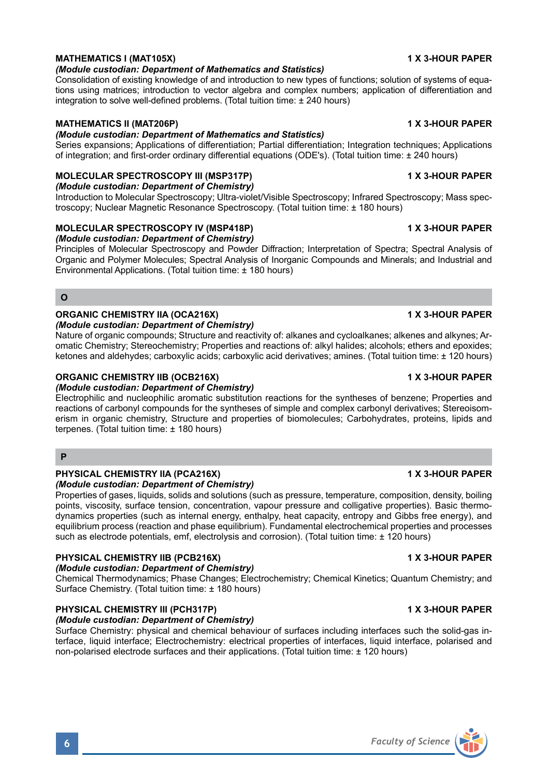# **MATHEMATICS I (MAT105X)** 1 X 3-HOUR PAPER

### *(Module custodian: Department of Mathematics and Statistics)*

Consolidation of existing knowledge of and introduction to new types of functions; solution of systems of equations using matrices; introduction to vector algebra and complex numbers; application of differentiation and integration to solve well-defined problems. (Total tuition time: ± 240 hours)

## **MATHEMATICS II (MAT206P)** 1 X 3-HOUR PAPER

### *(Module custodian: Department of Mathematics and Statistics)*

Series expansions; Applications of differentiation; Partial differentiation; Integration techniques; Applications of integration; and first-order ordinary differential equations (ODE's). (Total tuition time: ± 240 hours)

# **MOLECULAR SPECTROSCOPY III (MSP317P)** 1 X 3-HOUR PAPER

### *(Module custodian: Department of Chemistry)*

Introduction to Molecular Spectroscopy; Ultra-violet/Visible Spectroscopy; Infrared Spectroscopy; Mass spectroscopy; Nuclear Magnetic Resonance Spectroscopy. (Total tuition time: ± 180 hours)

# **MOLECULAR SPECTROSCOPY IV (MSP418P) 1 X 3-HOUR PAPER**

*(Module custodian: Department of Chemistry)* Principles of Molecular Spectroscopy and Powder Diffraction; Interpretation of Spectra; Spectral Analysis of Organic and Polymer Molecules; Spectral Analysis of Inorganic Compounds and Minerals; and Industrial and Environmental Applications. (Total tuition time: ± 180 hours)

### **O**

# **ORGANIC CHEMISTRY IIA (OCA216X) 1 X 3-HOUR PAPER**

*(Module custodian: Department of Chemistry)*

Nature of organic compounds; Structure and reactivity of: alkanes and cycloalkanes; alkenes and alkynes; Aromatic Chemistry; Stereochemistry; Properties and reactions of: alkyl halides; alcohols; ethers and epoxides; ketones and aldehydes; carboxylic acids; carboxylic acid derivatives; amines. (Total tuition time: ± 120 hours)

### **ORGANIC CHEMISTRY IIB (OCB216X) 1 X 3-HOUR PAPER**

### *(Module custodian: Department of Chemistry)*

Electrophilic and nucleophilic aromatic substitution reactions for the syntheses of benzene; Properties and reactions of carbonyl compounds for the syntheses of simple and complex carbonyl derivatives; Stereoisomerism in organic chemistry, Structure and properties of biomolecules; Carbohydrates, proteins, lipids and terpenes. (Total tuition time: ± 180 hours)

# **P**

### **PHYSICAL CHEMISTRY IIA (PCA216X) 1 X 3-HOUR PAPER**

### *(Module custodian: Department of Chemistry)*

Properties of gases, liquids, solids and solutions (such as pressure, temperature, composition, density, boiling points, viscosity, surface tension, concentration, vapour pressure and colligative properties). Basic thermodynamics properties (such as internal energy, enthalpy, heat capacity, entropy and Gibbs free energy), and equilibrium process (reaction and phase equilibrium). Fundamental electrochemical properties and processes such as electrode potentials, emf, electrolysis and corrosion). (Total tuition time: ± 120 hours)

### **PHYSICAL CHEMISTRY IIB (PCB216X) 1 X 3-HOUR PAPER**

### *(Module custodian: Department of Chemistry)*

Chemical Thermodynamics; Phase Changes; Electrochemistry; Chemical Kinetics; Quantum Chemistry; and Surface Chemistry. (Total tuition time: ± 180 hours)

# **PHYSICAL CHEMISTRY III (PCH317P)** 1 1 X 3-HOUR PAPER

### *(Module custodian: Department of Chemistry)*

Surface Chemistry: physical and chemical behaviour of surfaces including interfaces such the solid-gas interface, liquid interface; Electrochemistry: electrical properties of interfaces, liquid interface, polarised and non-polarised electrode surfaces and their applications. (Total tuition time: ± 120 hours)